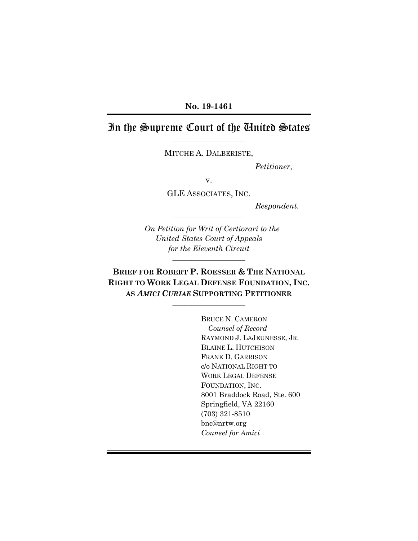## **No. 19-1461**

# In the Supreme Court of the United States

–––––––––––––––––––––––– MITCHE A. DALBERISTE,

*Petitioner,*

v.

GLE ASSOCIATES, INC.

––––––––––––––––––––––––

*Respondent.*

*On Petition for Writ of Certiorari to the United States Court of Appeals for the Eleventh Circuit*

**BRIEF FOR ROBERT P. ROESSER & THE NATIONAL RIGHT TO WORK LEGAL DEFENSE FOUNDATION, INC. AS** *AMICI CURIAE* **SUPPORTING PETITIONER**

––––––––––––––––––––––––

––––––––––––––––––––––––

BRUCE N. CAMERON *Counsel of Record* RAYMOND J. LAJEUNESSE, JR. BLAINE L. HUTCHISON FRANK D. GARRISON c/o NATIONAL RIGHT TO WORK LEGAL DEFENSE FOUNDATION, INC. 8001 Braddock Road, Ste. 600 Springfield, VA 22160 (703) 321-8510 bnc@nrtw.org *Counsel for Amici*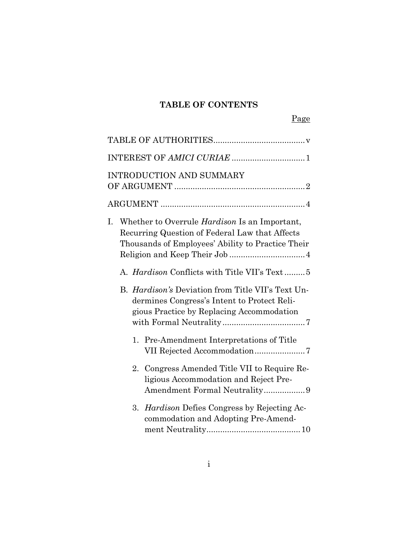# **TABLE OF CONTENTS**

|    |                                                                                                                                                             | <b>INTRODUCTION AND SUMMARY</b>                                                                                                                      |  |  |
|----|-------------------------------------------------------------------------------------------------------------------------------------------------------------|------------------------------------------------------------------------------------------------------------------------------------------------------|--|--|
|    |                                                                                                                                                             |                                                                                                                                                      |  |  |
| I. | Whether to Overrule <i>Hardison</i> Is an Important,<br>Recurring Question of Federal Law that Affects<br>Thousands of Employees' Ability to Practice Their |                                                                                                                                                      |  |  |
|    |                                                                                                                                                             | A. <i>Hardison</i> Conflicts with Title VII's Text5                                                                                                  |  |  |
|    |                                                                                                                                                             | B. <i>Hardison's</i> Deviation from Title VII's Text Un-<br>dermines Congress's Intent to Protect Reli-<br>gious Practice by Replacing Accommodation |  |  |
|    | 1.                                                                                                                                                          | Pre-Amendment Interpretations of Title                                                                                                               |  |  |
|    |                                                                                                                                                             | 2. Congress Amended Title VII to Require Re-<br>ligious Accommodation and Reject Pre-<br>Amendment Formal Neutrality9                                |  |  |
|    |                                                                                                                                                             | 3. Hardison Defies Congress by Rejecting Ac-<br>commodation and Adopting Pre-Amend-                                                                  |  |  |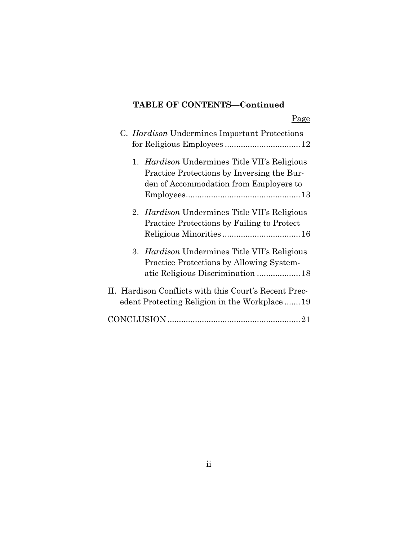# **TABLE OF CONTENTS—Continued**

|  | C. Hardison Undermines Important Protections                                                                                                |
|--|---------------------------------------------------------------------------------------------------------------------------------------------|
|  | 1. <i>Hardison</i> Undermines Title VII's Religious<br>Practice Protections by Inversing the Bur-<br>den of Accommodation from Employers to |
|  | 2. <i>Hardison</i> Undermines Title VII's Religious<br><b>Practice Protections by Failing to Protect</b>                                    |
|  | 3. <i>Hardison</i> Undermines Title VII's Religious<br>Practice Protections by Allowing System-                                             |
|  | II. Hardison Conflicts with this Court's Recent Prec-<br>edent Protecting Religion in the Workplace19                                       |
|  |                                                                                                                                             |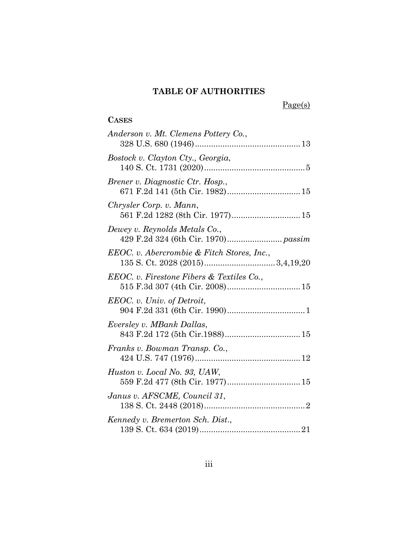# **TABLE OF AUTHORITIES**

Page(s)

# **CASES**

| Anderson v. Mt. Clemens Pottery Co.,                                |
|---------------------------------------------------------------------|
| Bostock v. Clayton Cty., Georgia,                                   |
| Brener v. Diagnostic Ctr. Hosp.,<br>671 F.2d 141 (5th Cir. 1982) 15 |
| Chrysler Corp. v. Mann,<br>561 F.2d 1282 (8th Cir. 1977) 15         |
| Dewey v. Reynolds Metals Co.,                                       |
| EEOC. v. Abercrombie & Fitch Stores, Inc.,                          |
| EEOC. v. Firestone Fibers & Textiles Co.,                           |
| EEOC. v. Univ. of Detroit,                                          |
| Eversley v. MBank Dallas,                                           |
| Franks v. Bowman Transp. Co.,                                       |
| Huston v. Local No. 93, UAW,<br>559 F.2d 477 (8th Cir. 1977) 15     |
| Janus v. AFSCME, Council 31,                                        |
| Kennedy v. Bremerton Sch. Dist.,                                    |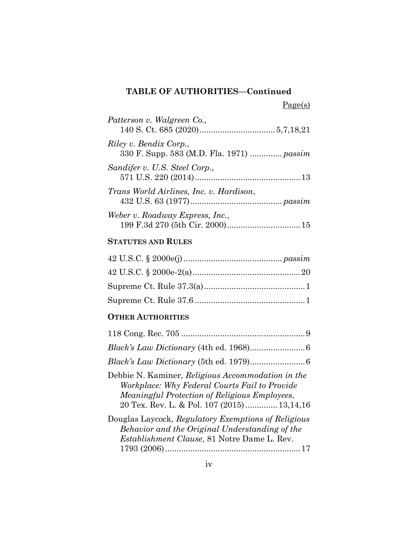# **TABLE OF AUTHORITIES—Continued**

 $Page(s)$ 

| Patterson v. Walgreen Co.,                                          |
|---------------------------------------------------------------------|
| Riley v. Bendix Corp.,<br>330 F. Supp. 583 (M.D. Fla. 1971)  passim |
| Sandifer v. U.S. Steel Corp.,                                       |
| Trans World Airlines, Inc. v. Hardison,                             |
| Weber v. Roadway Express, Inc.,                                     |

# **STATUTES AND RULES**

# **OTHER AUTHORITIES**

| Debbie N. Kaminer, Religious Accommodation in the<br>Workplace: Why Federal Courts Fail to Provide<br><i>Meaningful Protection of Religious Employees,</i><br>20 Tex. Rev. L. & Pol. 107 (2015)  13,14,16 |
|-----------------------------------------------------------------------------------------------------------------------------------------------------------------------------------------------------------|
| Douglas Laycock, Regulatory Exemptions of Religious<br>Behavior and the Original Understanding of the<br><i>Establishment Clause</i> , 81 Notre Dame L. Rev.                                              |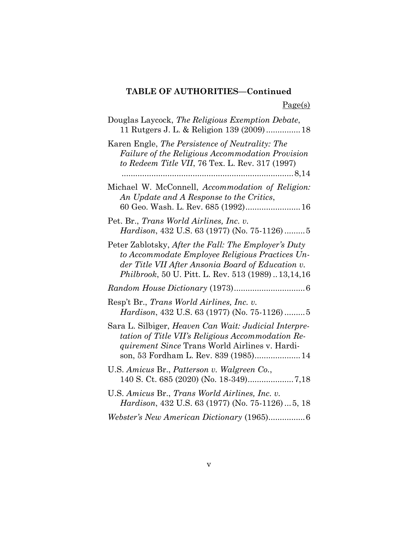# **TABLE OF AUTHORITIES—Continued**

 $Page(s)$ 

| Douglas Laycock, The Religious Exemption Debate,<br>11 Rutgers J. L. & Religion 139 (2009) 18                                                                                                                     |
|-------------------------------------------------------------------------------------------------------------------------------------------------------------------------------------------------------------------|
| Karen Engle, The Persistence of Neutrality: The<br>Failure of the Religious Accommodation Provision<br>to Redeem Title VII, 76 Tex. L. Rev. 317 (1997)                                                            |
| Michael W. McConnell, Accommodation of Religion:<br>An Update and A Response to the Critics,<br>60 Geo. Wash. L. Rev. 685 (1992) 16                                                                               |
| Pet. Br., Trans World Airlines, Inc. v.<br><i>Hardison</i> , 432 U.S. 63 (1977) (No. 75-1126)5                                                                                                                    |
| Peter Zablotsky, After the Fall: The Employer's Duty<br>to Accommodate Employee Religious Practices Un-<br>der Title VII After Ansonia Board of Education v.<br>Philbrook, 50 U. Pitt. L. Rev. 513 (1989)13,14,16 |
|                                                                                                                                                                                                                   |
| Resp't Br., Trans World Airlines, Inc. v.<br>Hardison, 432 U.S. 63 (1977) (No. 75-1126)5                                                                                                                          |
| Sara L. Silbiger, Heaven Can Wait: Judicial Interpre-<br>tation of Title VII's Religious Accommodation Re-<br><i>quirement Since</i> Trans World Airlines v. Hardi-<br>son, 53 Fordham L. Rev. 839 (1985) 14      |
| U.S. Amicus Br., Patterson v. Walgreen Co.,                                                                                                                                                                       |
| U.S. Amicus Br., Trans World Airlines, Inc. v.<br>Hardison, 432 U.S. 63 (1977) (No. 75-1126)  5, 18                                                                                                               |
| Webster's New American Dictionary (1965)6                                                                                                                                                                         |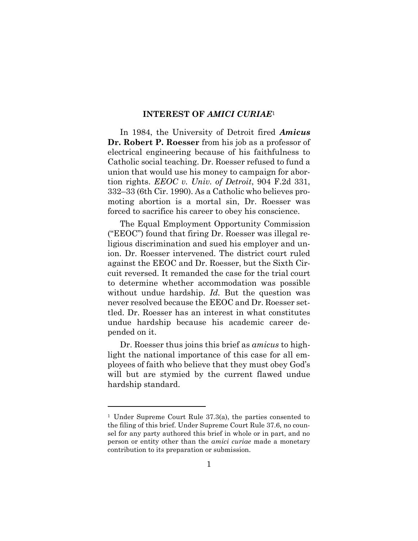#### **INTEREST OF** *AMICI CURIAE*<sup>1</sup>

In 1984, the University of Detroit fired *Amicus* **Dr. Robert P. Roesser** from his job as a professor of electrical engineering because of his faithfulness to Catholic social teaching. Dr. Roesser refused to fund a union that would use his money to campaign for abortion rights. *EEOC v. Univ. of Detroit*, 904 F.2d 331, 332–33 (6th Cir. 1990). As a Catholic who believes promoting abortion is a mortal sin, Dr. Roesser was forced to sacrifice his career to obey his conscience.

The Equal Employment Opportunity Commission ("EEOC") found that firing Dr. Roesser was illegal religious discrimination and sued his employer and union. Dr. Roesser intervened. The district court ruled against the EEOC and Dr. Roesser, but the Sixth Circuit reversed. It remanded the case for the trial court to determine whether accommodation was possible without undue hardship. *Id.* But the question was never resolved because the EEOC and Dr. Roesser settled. Dr. Roesser has an interest in what constitutes undue hardship because his academic career depended on it.

Dr. Roesser thus joins this brief as *amicus* to highlight the national importance of this case for all employees of faith who believe that they must obey God's will but are stymied by the current flawed undue hardship standard.

<sup>1</sup> Under Supreme Court Rule 37.3(a), the parties consented to the filing of this brief. Under Supreme Court Rule 37.6, no counsel for any party authored this brief in whole or in part, and no person or entity other than the *amici curiae* made a monetary contribution to its preparation or submission.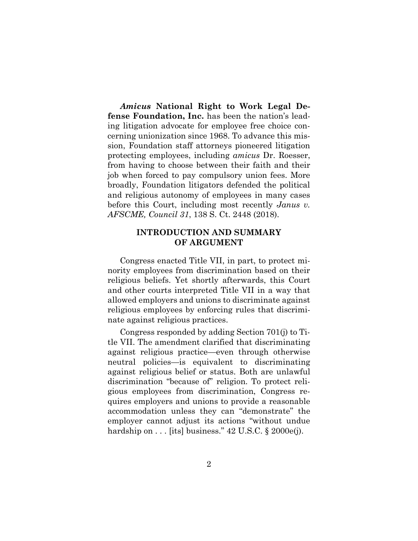*Amicus* **National Right to Work Legal Defense Foundation, Inc.** has been the nation's leading litigation advocate for employee free choice concerning unionization since 1968. To advance this mission, Foundation staff attorneys pioneered litigation protecting employees, including *amicus* Dr. Roesser, from having to choose between their faith and their job when forced to pay compulsory union fees. More broadly, Foundation litigators defended the political and religious autonomy of employees in many cases before this Court, including most recently *Janus v. AFSCME, Council 31*, 138 S. Ct. 2448 (2018).

## **INTRODUCTION AND SUMMARY OF ARGUMENT**

Congress enacted Title VII, in part, to protect minority employees from discrimination based on their religious beliefs. Yet shortly afterwards, this Court and other courts interpreted Title VII in a way that allowed employers and unions to discriminate against religious employees by enforcing rules that discriminate against religious practices.

Congress responded by adding Section 701(j) to Title VII. The amendment clarified that discriminating against religious practice—even through otherwise neutral policies—is equivalent to discriminating against religious belief or status. Both are unlawful discrimination "because of" religion. To protect religious employees from discrimination, Congress requires employers and unions to provide a reasonable accommodation unless they can "demonstrate" the employer cannot adjust its actions "without undue hardship on  $\dots$  [its] business." 42 U.S.C. § 2000e(j).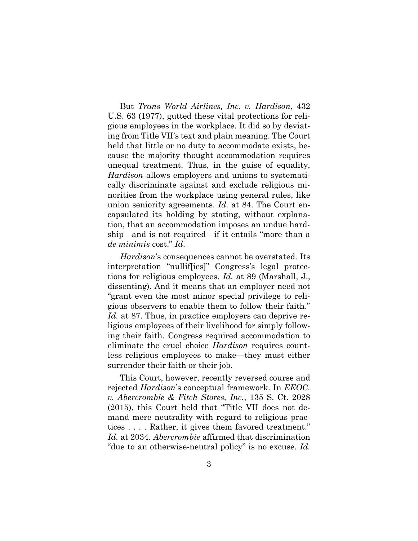But *Trans World Airlines, Inc. v. Hardison*, 432 U.S. 63 (1977), gutted these vital protections for religious employees in the workplace. It did so by deviating from Title VII's text and plain meaning. The Court held that little or no duty to accommodate exists, because the majority thought accommodation requires unequal treatment. Thus, in the guise of equality, *Hardison* allows employers and unions to systematically discriminate against and exclude religious minorities from the workplace using general rules, like union seniority agreements. *Id.* at 84. The Court encapsulated its holding by stating, without explanation, that an accommodation imposes an undue hardship—and is not required—if it entails "more than a *de minimis* cost." *Id*.

*Hardison*'s consequences cannot be overstated. Its interpretation "nullif[ies]" Congress's legal protections for religious employees. *Id.* at 89 (Marshall, J., dissenting). And it means that an employer need not "grant even the most minor special privilege to religious observers to enable them to follow their faith." *Id.* at 87. Thus, in practice employers can deprive religious employees of their livelihood for simply following their faith. Congress required accommodation to eliminate the cruel choice *Hardison* requires countless religious employees to make—they must either surrender their faith or their job.

This Court, however, recently reversed course and rejected *Hardison*'s conceptual framework. In *EEOC. v. Abercrombie & Fitch Stores, Inc.*, 135 S. Ct. 2028 (2015), this Court held that "Title VII does not demand mere neutrality with regard to religious practices . . . . Rather, it gives them favored treatment." *Id.* at 2034. *Abercrombie* affirmed that discrimination "due to an otherwise-neutral policy" is no excuse. *Id.*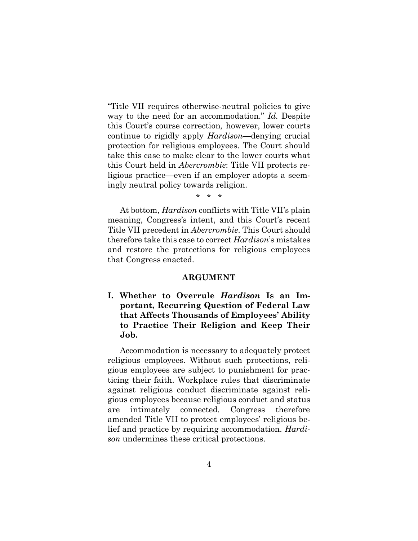"Title VII requires otherwise-neutral policies to give way to the need for an accommodation." *Id.* Despite this Court's course correction*,* however, lower courts continue to rigidly apply *Hardison—*denying crucial protection for religious employees. The Court should take this case to make clear to the lower courts what this Court held in *Abercrombie*: Title VII protects religious practice—even if an employer adopts a seemingly neutral policy towards religion.

\* \* \*

At bottom, *Hardison* conflicts with Title VII's plain meaning, Congress's intent, and this Court's recent Title VII precedent in *Abercrombie*. This Court should therefore take this case to correct *Hardison*'s mistakes and restore the protections for religious employees that Congress enacted.

#### **ARGUMENT**

**I. Whether to Overrule** *Hardison* **Is an Important, Recurring Question of Federal Law that Affects Thousands of Employees' Ability to Practice Their Religion and Keep Their Job.** 

Accommodation is necessary to adequately protect religious employees. Without such protections, religious employees are subject to punishment for practicing their faith. Workplace rules that discriminate against religious conduct discriminate against religious employees because religious conduct and status are intimately connected. Congress therefore amended Title VII to protect employees' religious belief and practice by requiring accommodation. *Hardison* undermines these critical protections.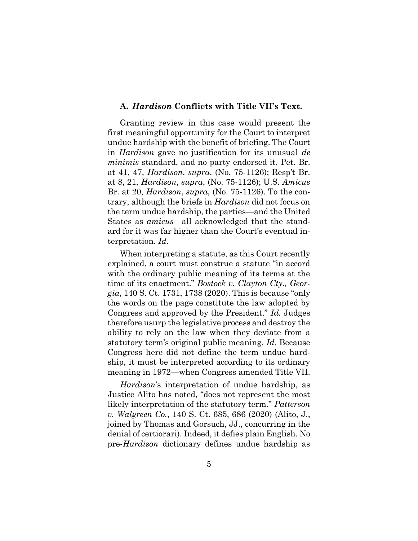#### **A.** *Hardison* **Conflicts with Title VII's Text.**

Granting review in this case would present the first meaningful opportunity for the Court to interpret undue hardship with the benefit of briefing. The Court in *Hardison* gave no justification for its unusual *de minimis* standard, and no party endorsed it. Pet. Br. at 41, 47, *Hardison*, *supra*, (No. 75-1126); Resp't Br. at 8, 21, *Hardison*, *supra*, (No. 75-1126); U.S. *Amicus* Br. at 20, *Hardison*, *supra*, (No. 75-1126). To the contrary, although the briefs in *Hardison* did not focus on the term undue hardship, the parties*—*and the United States as *amicus*—all acknowledged that the standard for it was far higher than the Court's eventual interpretation. *Id.*

When interpreting a statute, as this Court recently explained, a court must construe a statute "in accord with the ordinary public meaning of its terms at the time of its enactment." *Bostock v. Clayton Cty., Georgia*, 140 S. Ct. 1731, 1738 (2020). This is because "only the words on the page constitute the law adopted by Congress and approved by the President." *Id.* Judges therefore usurp the legislative process and destroy the ability to rely on the law when they deviate from a statutory term's original public meaning. *Id.* Because Congress here did not define the term undue hardship, it must be interpreted according to its ordinary meaning in 1972—when Congress amended Title VII.

*Hardison*'s interpretation of undue hardship, as Justice Alito has noted, "does not represent the most likely interpretation of the statutory term." *Patterson v. Walgreen Co.*, 140 S. Ct. 685, 686 (2020) (Alito, J., joined by Thomas and Gorsuch, JJ., concurring in the denial of certiorari). Indeed, it defies plain English. No pre-*Hardison* dictionary defines undue hardship as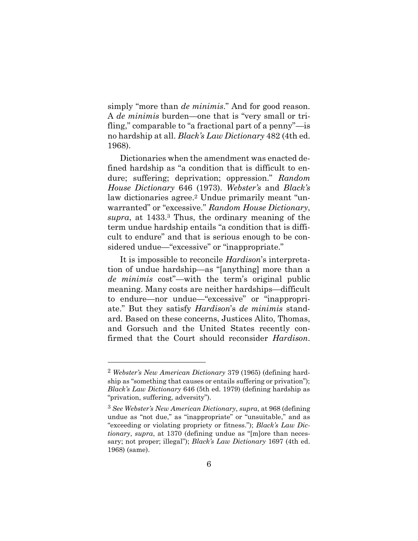simply "more than *de minimis*." And for good reason. A *de minimis* burden—one that is "very small or trifling," comparable to "a fractional part of a penny"—is no hardship at all. *Black's Law Dictionary* 482 (4th ed. 1968).

Dictionaries when the amendment was enacted defined hardship as "a condition that is difficult to endure; suffering; deprivation; oppression." *Random House Dictionary* 646 (1973). *Webster's* and *Black's*  law dictionaries agree.<sup>2</sup> Undue primarily meant "unwarranted" or "excessive." *Random House Dictionary*, *supra*, at 1433.<sup>3</sup> Thus, the ordinary meaning of the term undue hardship entails "a condition that is difficult to endure" and that is serious enough to be considered undue—"excessive" or "inappropriate."

It is impossible to reconcile *Hardison*'s interpretation of undue hardship—as "[anything] more than a *de minimis* cost"—with the term's original public meaning. Many costs are neither hardships—difficult to endure—nor undue—"excessive" or "inappropriate." But they satisfy *Hardison*'s *de minimis* standard. Based on these concerns, Justices Alito, Thomas, and Gorsuch and the United States recently confirmed that the Court should reconsider *Hardison*.

<sup>2</sup> *Webster's New American Dictionary* 379 (1965) (defining hardship as "something that causes or entails suffering or privation"); *Black's Law Dictionary* 646 (5th ed. 1979) (defining hardship as "privation, suffering, adversity").

<sup>3</sup> *See Webster's New American Dictionary*, *supra*, at 968 (defining undue as "not due," as "inappropriate" or "unsuitable," and as "exceeding or violating propriety or fitness."); *Black's Law Dictionary*, *supra*, at 1370 (defining undue as "[m]ore than necessary; not proper; illegal"); *Black's Law Dictionary* 1697 (4th ed. 1968) (same).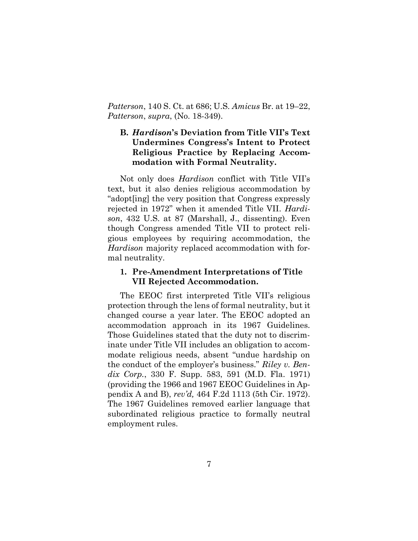*Patterson*, 140 S. Ct. at 686; U.S. *Amicus* Br. at 19–22, *Patterson*, *supra*, (No. 18-349).

# **B.** *Hardison***'s Deviation from Title VII's Text Undermines Congress's Intent to Protect Religious Practice by Replacing Accommodation with Formal Neutrality.**

Not only does *Hardison* conflict with Title VII's text, but it also denies religious accommodation by "adopt[ing] the very position that Congress expressly rejected in 1972" when it amended Title VII. *Hardison*, 432 U.S. at 87 (Marshall, J., dissenting). Even though Congress amended Title VII to protect religious employees by requiring accommodation, the *Hardison* majority replaced accommodation with formal neutrality.

## **1. Pre-Amendment Interpretations of Title VII Rejected Accommodation.**

The EEOC first interpreted Title VII's religious protection through the lens of formal neutrality, but it changed course a year later. The EEOC adopted an accommodation approach in its 1967 Guidelines. Those Guidelines stated that the duty not to discriminate under Title VII includes an obligation to accommodate religious needs, absent "undue hardship on the conduct of the employer's business." *Riley v. Bendix Corp.*, 330 F. Supp. 583, 591 (M.D. Fla. 1971) (providing the 1966 and 1967 EEOC Guidelines in Appendix A and B), *rev'd,* 464 F.2d 1113 (5th Cir. 1972). The 1967 Guidelines removed earlier language that subordinated religious practice to formally neutral employment rules.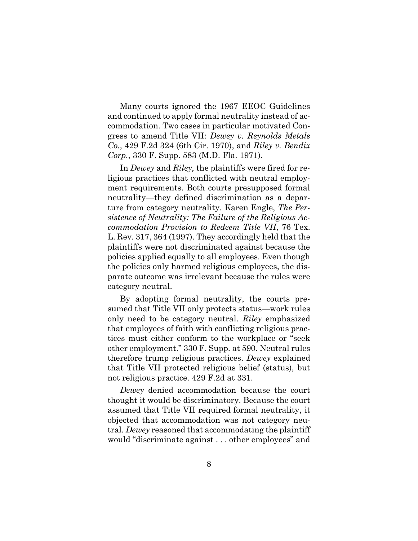Many courts ignored the 1967 EEOC Guidelines and continued to apply formal neutrality instead of accommodation. Two cases in particular motivated Congress to amend Title VII: *Dewey v. Reynolds Metals Co.*, 429 F.2d 324 (6th Cir. 1970), and *Riley v. Bendix Corp.*, 330 F. Supp. 583 (M.D. Fla. 1971).

In *Dewey* and *Riley,* the plaintiffs were fired for religious practices that conflicted with neutral employment requirements. Both courts presupposed formal neutrality—they defined discrimination as a departure from category neutrality. Karen Engle, *The Persistence of Neutrality: The Failure of the Religious Accommodation Provision to Redeem Title VII*, 76 Tex. L. Rev. 317, 364 (1997). They accordingly held that the plaintiffs were not discriminated against because the policies applied equally to all employees. Even though the policies only harmed religious employees, the disparate outcome was irrelevant because the rules were category neutral.

By adopting formal neutrality, the courts presumed that Title VII only protects status—work rules only need to be category neutral. *Riley* emphasized that employees of faith with conflicting religious practices must either conform to the workplace or "seek other employment." 330 F. Supp. at 590. Neutral rules therefore trump religious practices. *Dewey* explained that Title VII protected religious belief (status), but not religious practice. 429 F.2d at 331.

*Dewey* denied accommodation because the court thought it would be discriminatory. Because the court assumed that Title VII required formal neutrality, it objected that accommodation was not category neutral. *Dewey* reasoned that accommodating the plaintiff would "discriminate against . . . other employees" and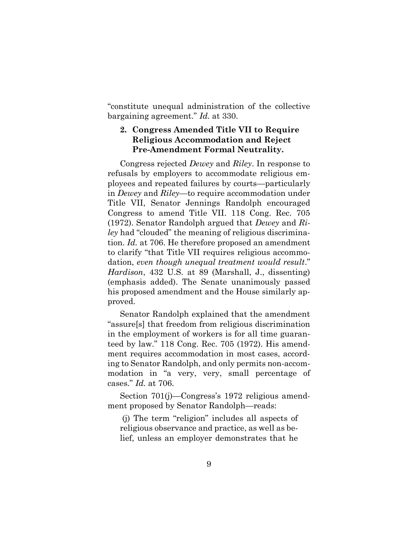"constitute unequal administration of the collective bargaining agreement." *Id.* at 330.

# **2. Congress Amended Title VII to Require Religious Accommodation and Reject Pre-Amendment Formal Neutrality.**

Congress rejected *Dewey* and *Riley*. In response to refusals by employers to accommodate religious employees and repeated failures by courts—particularly in *Dewey* and *Riley—*to require accommodation under Title VII, Senator Jennings Randolph encouraged Congress to amend Title VII. 118 Cong. Rec. 705 (1972). Senator Randolph argued that *Dewey* and *Riley* had "clouded" the meaning of religious discrimination. *Id.* at 706. He therefore proposed an amendment to clarify "that Title VII requires religious accommodation, *even though unequal treatment would result*." *Hardison*, 432 U.S. at 89 (Marshall, J., dissenting) (emphasis added). The Senate unanimously passed his proposed amendment and the House similarly approved.

Senator Randolph explained that the amendment "assure[s] that freedom from religious discrimination in the employment of workers is for all time guaranteed by law." 118 Cong. Rec. 705 (1972). His amendment requires accommodation in most cases, according to Senator Randolph, and only permits non-accommodation in "a very, very, small percentage of cases." *Id.* at 706.

Section 701(j)—Congress's 1972 religious amendment proposed by Senator Randolph—reads:

(j) The term "religion" includes all aspects of religious observance and practice, as well as belief, unless an employer demonstrates that he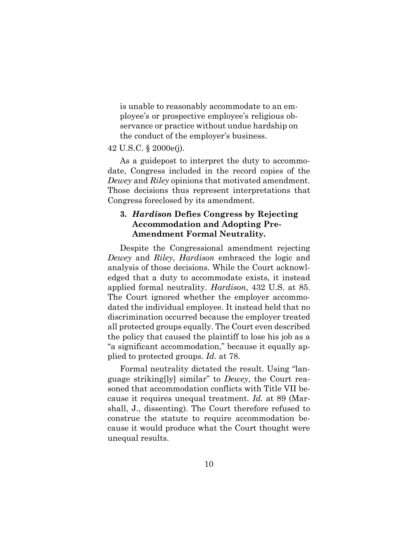is unable to reasonably accommodate to an employee's or prospective employee's religious observance or practice without undue hardship on the conduct of the employer's business.

#### 42 U.S.C. § 2000e(j).

As a guidepost to interpret the duty to accommodate, Congress included in the record copies of the *Dewey* and *Riley* opinions that motivated amendment. Those decisions thus represent interpretations that Congress foreclosed by its amendment.

## **3.** *Hardison* **Defies Congress by Rejecting Accommodation and Adopting Pre-Amendment Formal Neutrality***.*

Despite the Congressional amendment rejecting *Dewey* and *Riley*, *Hardison* embraced the logic and analysis of those decisions. While the Court acknowledged that a duty to accommodate exists, it instead applied formal neutrality. *Hardison*, 432 U.S. at 85. The Court ignored whether the employer accommodated the individual employee. It instead held that no discrimination occurred because the employer treated all protected groups equally. The Court even described the policy that caused the plaintiff to lose his job as a "a significant accommodation," because it equally applied to protected groups. *Id.* at 78.

Formal neutrality dictated the result. Using "language striking[ly] similar" to *Dewey*, the Court reasoned that accommodation conflicts with Title VII because it requires unequal treatment. *Id.* at 89 (Marshall, J., dissenting). The Court therefore refused to construe the statute to require accommodation because it would produce what the Court thought were unequal results.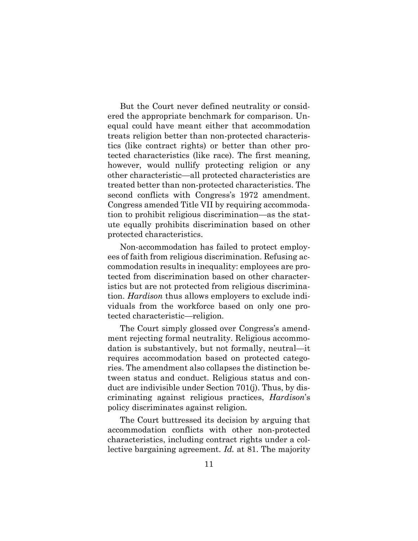But the Court never defined neutrality or considered the appropriate benchmark for comparison. Unequal could have meant either that accommodation treats religion better than non-protected characteristics (like contract rights) or better than other protected characteristics (like race). The first meaning, however, would nullify protecting religion or any other characteristic—all protected characteristics are treated better than non-protected characteristics. The second conflicts with Congress's 1972 amendment. Congress amended Title VII by requiring accommodation to prohibit religious discrimination—as the statute equally prohibits discrimination based on other protected characteristics.

Non-accommodation has failed to protect employees of faith from religious discrimination. Refusing accommodation results in inequality: employees are protected from discrimination based on other characteristics but are not protected from religious discrimination. *Hardison* thus allows employers to exclude individuals from the workforce based on only one protected characteristic—religion.

The Court simply glossed over Congress's amendment rejecting formal neutrality. Religious accommodation is substantively, but not formally, neutral—it requires accommodation based on protected categories. The amendment also collapses the distinction between status and conduct. Religious status and conduct are indivisible under Section 701(j). Thus, by discriminating against religious practices, *Hardison*'s policy discriminates against religion.

The Court buttressed its decision by arguing that accommodation conflicts with other non-protected characteristics, including contract rights under a collective bargaining agreement. *Id.* at 81. The majority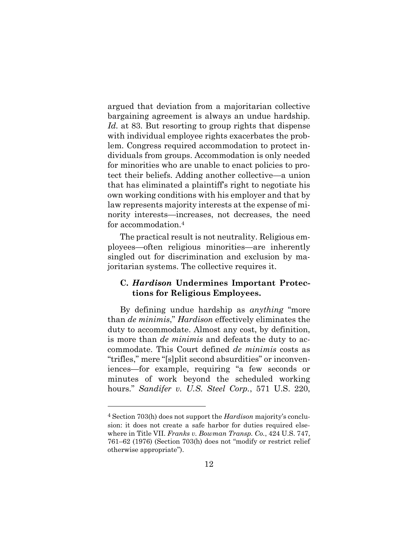argued that deviation from a majoritarian collective bargaining agreement is always an undue hardship. *Id.* at 83. But resorting to group rights that dispense with individual employee rights exacerbates the problem. Congress required accommodation to protect individuals from groups. Accommodation is only needed for minorities who are unable to enact policies to protect their beliefs. Adding another collective—a union that has eliminated a plaintiff's right to negotiate his own working conditions with his employer and that by law represents majority interests at the expense of minority interests—increases, not decreases, the need for accommodation.<sup>4</sup>

The practical result is not neutrality. Religious employees—often religious minorities—are inherently singled out for discrimination and exclusion by majoritarian systems. The collective requires it.

## **C.** *Hardison* **Undermines Important Protections for Religious Employees.**

By defining undue hardship as *anything* "more than *de minimis*," *Hardison* effectively eliminates the duty to accommodate. Almost any cost, by definition, is more than *de minimis* and defeats the duty to accommodate. This Court defined *de minimis* costs as "trifles," mere "[s]plit second absurdities" or inconveniences—for example, requiring "a few seconds or minutes of work beyond the scheduled working hours." *Sandifer v. U.S. Steel Corp.*, 571 U.S. 220,

<sup>4</sup> Section 703(h) does not support the *Hardison* majority's conclusion: it does not create a safe harbor for duties required elsewhere in Title VII. *Franks v. Bowman Transp. Co.*, 424 U.S. 747, 761–62 (1976) (Section 703(h) does not "modify or restrict relief otherwise appropriate").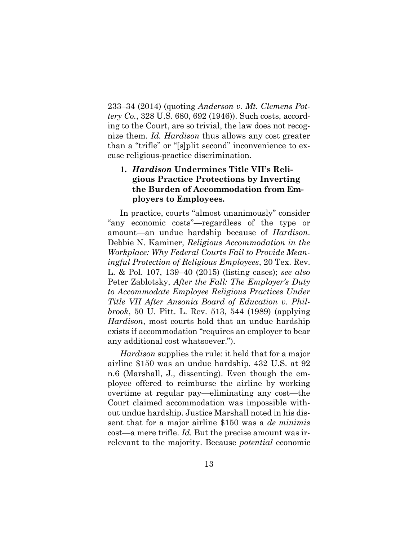233–34 (2014) (quoting *Anderson v. Mt. Clemens Pottery Co.*, 328 U.S. 680, 692 (1946)). Such costs, according to the Court, are so trivial, the law does not recognize them. *Id. Hardison* thus allows any cost greater than a "trifle" or "[s]plit second" inconvenience to excuse religious-practice discrimination.

# **1.** *Hardison* **Undermines Title VII's Religious Practice Protections by Inverting the Burden of Accommodation from Employers to Employees***.*

In practice, courts "almost unanimously" consider "any economic costs"—regardless of the type or amount—an undue hardship because of *Hardison*. Debbie N. Kaminer, *Religious Accommodation in the Workplace: Why Federal Courts Fail to Provide Meaningful Protection of Religious Employees*, 20 Tex. Rev. L. & Pol. 107, 139–40 (2015) (listing cases); *see also*  Peter Zablotsky, *After the Fall: The Employer's Duty to Accommodate Employee Religious Practices Under Title VII After Ansonia Board of Education v. Philbrook*, 50 U. Pitt. L. Rev. 513, 544 (1989) (applying *Hardison*, most courts hold that an undue hardship exists if accommodation "requires an employer to bear any additional cost whatsoever.").

*Hardison* supplies the rule: it held that for a major airline \$150 was an undue hardship. 432 U.S. at 92 n.6 (Marshall, J., dissenting). Even though the employee offered to reimburse the airline by working overtime at regular pay—eliminating any cost—the Court claimed accommodation was impossible without undue hardship. Justice Marshall noted in his dissent that for a major airline \$150 was a *de minimis*  cost—a mere trifle. *Id.* But the precise amount was irrelevant to the majority. Because *potential* economic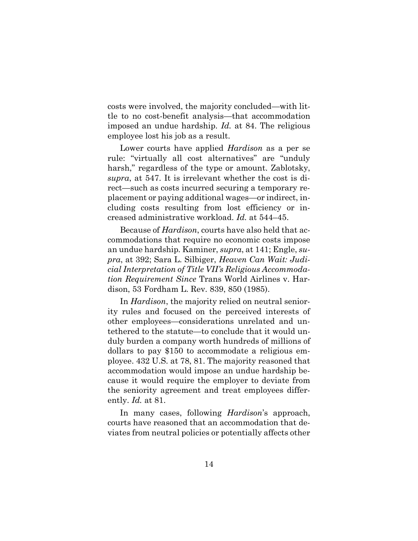costs were involved, the majority concluded—with little to no cost-benefit analysis—that accommodation imposed an undue hardship. *Id.* at 84. The religious employee lost his job as a result.

Lower courts have applied *Hardison* as a per se rule: "virtually all cost alternatives" are "unduly harsh," regardless of the type or amount. Zablotsky, *supra*, at 547. It is irrelevant whether the cost is direct—such as costs incurred securing a temporary replacement or paying additional wages—or indirect, including costs resulting from lost efficiency or increased administrative workload. *Id.* at 544–45.

Because of *Hardison*, courts have also held that accommodations that require no economic costs impose an undue hardship*.* Kaminer, *supra*, at 141; Engle, *supra*, at 392; Sara L. Silbiger, *Heaven Can Wait: Judicial Interpretation of Title VII's Religious Accommodation Requirement Since* Trans World Airlines v. Hardison, 53 Fordham L. Rev. 839, 850 (1985).

In *Hardison*, the majority relied on neutral seniority rules and focused on the perceived interests of other employees—considerations unrelated and untethered to the statute—to conclude that it would unduly burden a company worth hundreds of millions of dollars to pay \$150 to accommodate a religious employee. 432 U.S. at 78, 81. The majority reasoned that accommodation would impose an undue hardship because it would require the employer to deviate from the seniority agreement and treat employees differently. *Id.* at 81.

In many cases, following *Hardison*'s approach, courts have reasoned that an accommodation that deviates from neutral policies or potentially affects other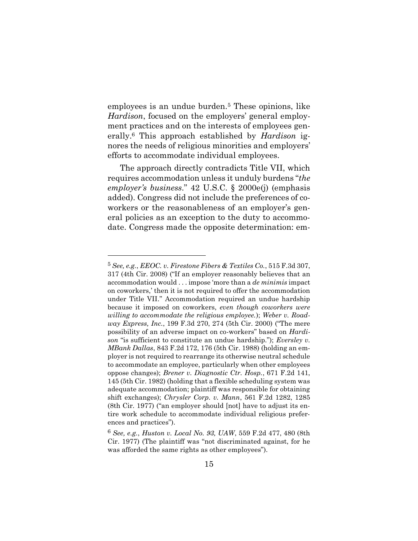employees is an undue burden.<sup>5</sup> These opinions, like *Hardison*, focused on the employers' general employment practices and on the interests of employees generally. <sup>6</sup> This approach established by *Hardison* ignores the needs of religious minorities and employers' efforts to accommodate individual employees.

The approach directly contradicts Title VII, which requires accommodation unless it unduly burdens "*the employer's business*." 42 U.S.C. § 2000e(j) (emphasis added). Congress did not include the preferences of coworkers or the reasonableness of an employer's general policies as an exception to the duty to accommodate. Congress made the opposite determination: em-

<sup>5</sup> *See, e.g.*, *EEOC. v. Firestone Fibers & Textiles Co.*, 515 F.3d 307, 317 (4th Cir. 2008) ("If an employer reasonably believes that an accommodation would . . . impose 'more than a *de minimis* impact on coworkers,' then it is not required to offer the accommodation under Title VII." Accommodation required an undue hardship because it imposed on coworkers, *even though coworkers were willing to accommodate the religious employee.*); *Weber v. Roadway Express, Inc.*, 199 F.3d 270, 274 (5th Cir. 2000) ("The mere possibility of an adverse impact on co-workers" based on *Hardison* "is sufficient to constitute an undue hardship."); *Eversley v. MBank Dallas*, 843 F.2d 172, 176 (5th Cir. 1988) (holding an employer is not required to rearrange its otherwise neutral schedule to accommodate an employee, particularly when other employees oppose changes); *Brener v. Diagnostic Ctr. Hosp.*, 671 F.2d 141, 145 (5th Cir. 1982) (holding that a flexible scheduling system was adequate accommodation; plaintiff was responsible for obtaining shift exchanges); *Chrysler Corp. v. Mann*, 561 F.2d 1282, 1285 (8th Cir. 1977) ("an employer should [not] have to adjust its entire work schedule to accommodate individual religious preferences and practices").

<sup>6</sup> *See, e.g.*, *Huston v. Local No. 93, UAW*, 559 F.2d 477, 480 (8th Cir. 1977) (The plaintiff was "not discriminated against, for he was afforded the same rights as other employees").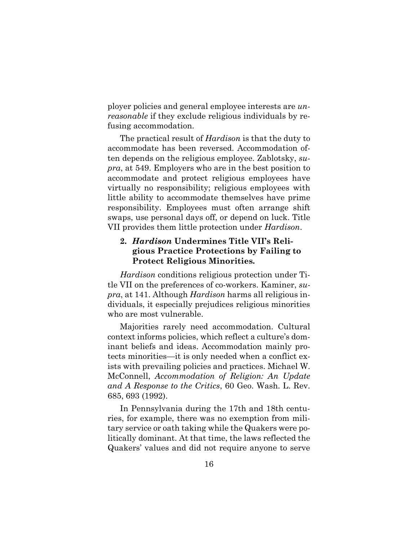ployer policies and general employee interests are *unreasonable* if they exclude religious individuals by refusing accommodation.

The practical result of *Hardison* is that the duty to accommodate has been reversed. Accommodation often depends on the religious employee. Zablotsky, *supra*, at 549. Employers who are in the best position to accommodate and protect religious employees have virtually no responsibility; religious employees with little ability to accommodate themselves have prime responsibility. Employees must often arrange shift swaps, use personal days off, or depend on luck. Title VII provides them little protection under *Hardison*.

# **2.** *Hardison* **Undermines Title VII's Religious Practice Protections by Failing to Protect Religious Minorities***.*

*Hardison* conditions religious protection under Title VII on the preferences of co-workers. Kaminer, *supra*, at 141. Although *Hardison* harms all religious individuals, it especially prejudices religious minorities who are most vulnerable.

Majorities rarely need accommodation. Cultural context informs policies, which reflect a culture's dominant beliefs and ideas. Accommodation mainly protects minorities—it is only needed when a conflict exists with prevailing policies and practices. Michael W. McConnell, *Accommodation of Religion: An Update and A Response to the Critics*, 60 Geo. Wash. L. Rev. 685, 693 (1992).

In Pennsylvania during the 17th and 18th centuries, for example, there was no exemption from military service or oath taking while the Quakers were politically dominant. At that time, the laws reflected the Quakers' values and did not require anyone to serve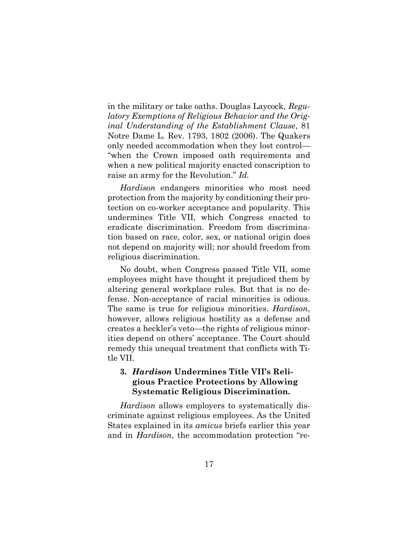in the military or take oaths. Douglas Laycock, *Regulatory Exemptions of Religious Behavior and the Original Understanding of the Establishment Clause*, 81 Notre Dame L. Rev. 1793, 1802 (2006). The Quakers only needed accommodation when they lost control— "when the Crown imposed oath requirements and when a new political majority enacted conscription to raise an army for the Revolution." *Id.* 

*Hardison* endangers minorities who most need protection from the majority by conditioning their protection on co-worker acceptance and popularity. This undermines Title VII, which Congress enacted to eradicate discrimination. Freedom from discrimination based on race, color, sex, or national origin does not depend on majority will; nor should freedom from religious discrimination.

No doubt, when Congress passed Title VII, some employees might have thought it prejudiced them by altering general workplace rules. But that is no defense. Non-acceptance of racial minorities is odious. The same is true for religious minorities. *Hardison*, however, allows religious hostility as a defense and creates a heckler's veto—the rights of religious minorities depend on others' acceptance. The Court should remedy this unequal treatment that conflicts with Title VII.

## **3.** *Hardison* **Undermines Title VII's Religious Practice Protections by Allowing Systematic Religious Discrimination***.*

*Hardison* allows employers to systematically discriminate against religious employees. As the United States explained in its *amicus* briefs earlier this year and in *Hardison*, the accommodation protection "re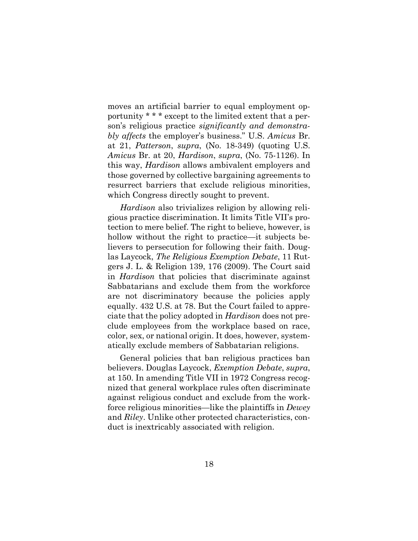moves an artificial barrier to equal employment opportunity \* \* \* except to the limited extent that a person's religious practice *significantly and demonstrably affects* the employer's business." U.S. *Amicus* Br. at 21, *Patterson*, *supra*, (No. 18-349) (quoting U.S. *Amicus* Br. at 20, *Hardison*, *supra*, (No. 75-1126). In this way, *Hardison* allows ambivalent employers and those governed by collective bargaining agreements to resurrect barriers that exclude religious minorities, which Congress directly sought to prevent.

*Hardison* also trivializes religion by allowing religious practice discrimination. It limits Title VII's protection to mere belief. The right to believe, however, is hollow without the right to practice—it subjects believers to persecution for following their faith. Douglas Laycock, *The Religious Exemption Debate*, 11 Rutgers J. L. & Religion 139, 176 (2009). The Court said in *Hardison* that policies that discriminate against Sabbatarians and exclude them from the workforce are not discriminatory because the policies apply equally. 432 U.S. at 78. But the Court failed to appreciate that the policy adopted in *Hardison* does not preclude employees from the workplace based on race, color, sex, or national origin. It does, however, systematically exclude members of Sabbatarian religions.

General policies that ban religious practices ban believers. Douglas Laycock, *Exemption Debate*, *supra*, at 150. In amending Title VII in 1972 Congress recognized that general workplace rules often discriminate against religious conduct and exclude from the workforce religious minorities—like the plaintiffs in *Dewey*  and *Riley*. Unlike other protected characteristics, conduct is inextricably associated with religion.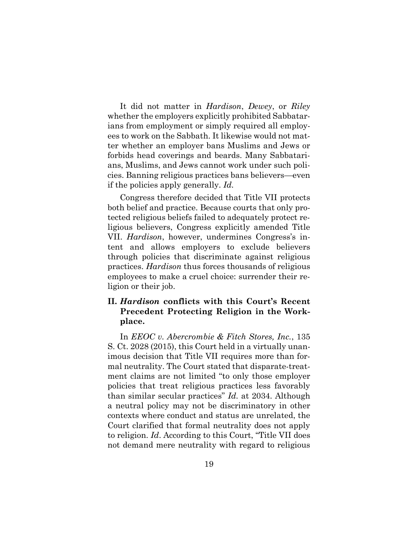It did not matter in *Hardison*, *Dewey*, or *Riley*  whether the employers explicitly prohibited Sabbatarians from employment or simply required all employees to work on the Sabbath. It likewise would not matter whether an employer bans Muslims and Jews or forbids head coverings and beards. Many Sabbatarians, Muslims, and Jews cannot work under such policies. Banning religious practices bans believers—even if the policies apply generally. *Id.* 

Congress therefore decided that Title VII protects both belief and practice. Because courts that only protected religious beliefs failed to adequately protect religious believers, Congress explicitly amended Title VII. *Hardison*, however, undermines Congress's intent and allows employers to exclude believers through policies that discriminate against religious practices. *Hardison* thus forces thousands of religious employees to make a cruel choice: surrender their religion or their job.

## **II.** *Hardison* **conflicts with this Court's Recent Precedent Protecting Religion in the Workplace.**

In *EEOC v. Abercrombie & Fitch Stores, Inc.*, 135 S. Ct. 2028 (2015), this Court held in a virtually unanimous decision that Title VII requires more than formal neutrality. The Court stated that disparate-treatment claims are not limited "to only those employer policies that treat religious practices less favorably than similar secular practices" *Id.* at 2034. Although a neutral policy may not be discriminatory in other contexts where conduct and status are unrelated, the Court clarified that formal neutrality does not apply to religion. *Id*. According to this Court, "Title VII does not demand mere neutrality with regard to religious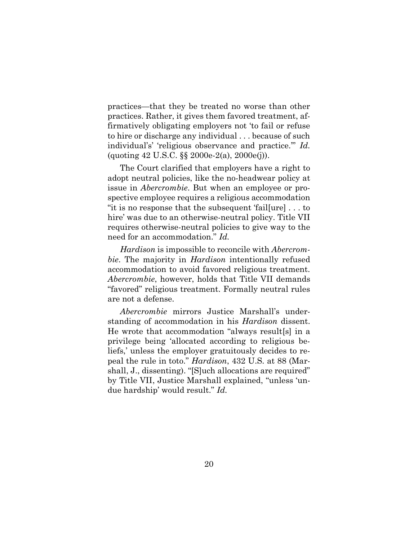practices—that they be treated no worse than other practices. Rather, it gives them favored treatment, affirmatively obligating employers not 'to fail or refuse to hire or discharge any individual . . . because of such individual's' 'religious observance and practice.'" *Id.* (quoting 42 U.S.C. §§ 2000e-2(a), 2000e(j)).

The Court clarified that employers have a right to adopt neutral policies, like the no-headwear policy at issue in *Abercrombie*. But when an employee or prospective employee requires a religious accommodation "it is no response that the subsequent 'fail[ure] . . . to hire' was due to an otherwise-neutral policy. Title VII requires otherwise-neutral policies to give way to the need for an accommodation." *Id.*

*Hardison* is impossible to reconcile with *Abercrombie*. The majority in *Hardison* intentionally refused accommodation to avoid favored religious treatment. *Abercrombie*, however, holds that Title VII demands "favored" religious treatment. Formally neutral rules are not a defense.

*Abercrombie* mirrors Justice Marshall's understanding of accommodation in his *Hardison* dissent. He wrote that accommodation "always result[s] in a privilege being 'allocated according to religious beliefs,' unless the employer gratuitously decides to repeal the rule in toto." *Hardison*, 432 U.S. at 88 (Marshall, J., dissenting). "[S]uch allocations are required" by Title VII, Justice Marshall explained, "unless 'undue hardship' would result." *Id.*